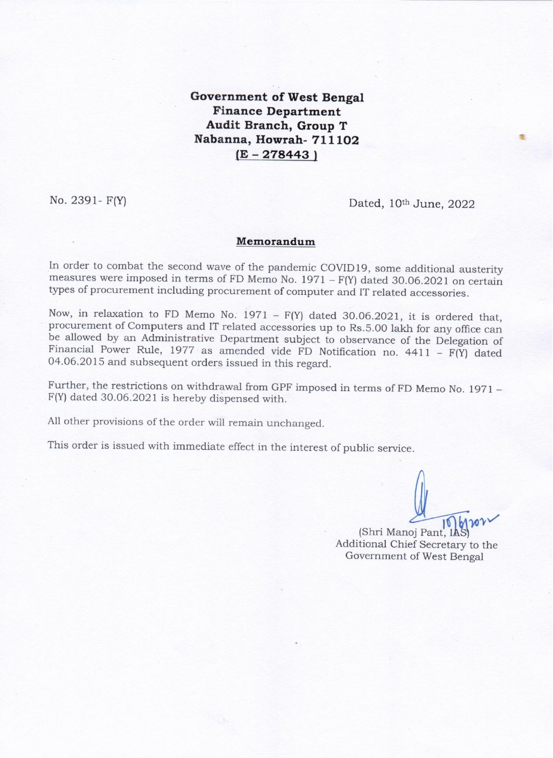**Government of West Bengal Finance Department** Audit Branch, Group T Nabanna, Howrah- 711102  $(E - 278443)$ 

No. 2391 -  $F(Y)$ 

Dated, 10th June, 2022

## Memorandum

In order to combat the second wave of the pandemic COVID19, some additional austerity measures were imposed in terms of FD Memo No.  $1971 - F(Y)$  dated 30.06.2021 on certain types of procurement including procurement of computer and IT related accessories.

Now, in relaxation to FD Memo No.  $1971 - F(Y)$  dated 30.06.2021, it is ordered that, procurement of Computers and IT related accessories up to Rs.5.00 lakh for any office can be allowed by an Administrative Department subject to observance of the Delegation of Financial Power Rule, 1977 as amended vide FD Notification no.  $4411 - F(Y)$  dated 04.06.2015 and subsequent orders issued in this regard.

Further, the restrictions on withdrawal from GPF imposed in terms of FD Memo No. 1971 -F(Y) dated 30.06.2021 is hereby dispensed with.

All other provisions of the order will remain unchanged.

This order is issued with immediate effect in the interest of public service.

(Shri Manoj Pant Additional Chief Secretary to the Government of West Bengal